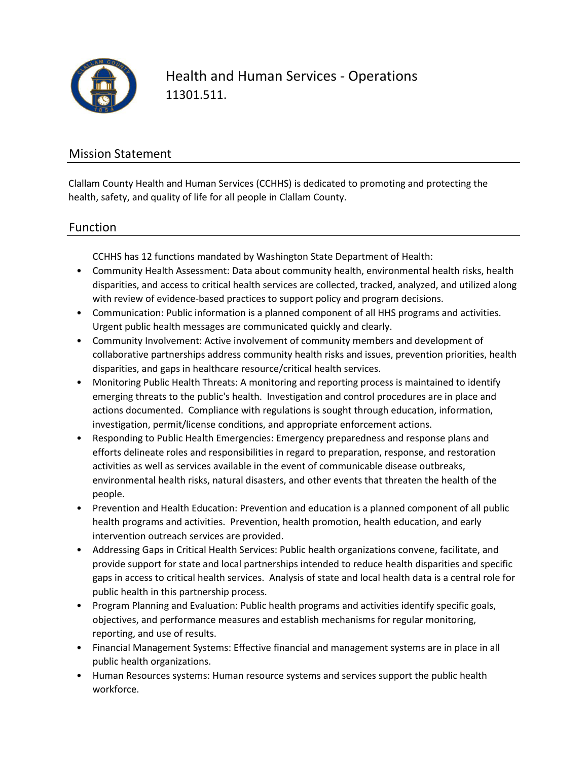

Health and Human Services - Operations 11301.511.

### Mission Statement

Clallam County Health and Human Services (CCHHS) is dedicated to promoting and protecting the health, safety, and quality of life for all people in Clallam County.

### Function

CCHHS has 12 functions mandated by Washington State Department of Health:

- Community Health Assessment: Data about community health, environmental health risks, health disparities, and access to critical health services are collected, tracked, analyzed, and utilized along with review of evidence-based practices to support policy and program decisions.
- Communication: Public information is a planned component of all HHS programs and activities. Urgent public health messages are communicated quickly and clearly.
- Community Involvement: Active involvement of community members and development of collaborative partnerships address community health risks and issues, prevention priorities, health disparities, and gaps in healthcare resource/critical health services.
- Monitoring Public Health Threats: A monitoring and reporting process is maintained to identify emerging threats to the public's health. Investigation and control procedures are in place and actions documented. Compliance with regulations is sought through education, information, investigation, permit/license conditions, and appropriate enforcement actions.
- Responding to Public Health Emergencies: Emergency preparedness and response plans and efforts delineate roles and responsibilities in regard to preparation, response, and restoration activities as well as services available in the event of communicable disease outbreaks, environmental health risks, natural disasters, and other events that threaten the health of the people.
- Prevention and Health Education: Prevention and education is a planned component of all public health programs and activities. Prevention, health promotion, health education, and early intervention outreach services are provided.
- Addressing Gaps in Critical Health Services: Public health organizations convene, facilitate, and provide support for state and local partnerships intended to reduce health disparities and specific gaps in access to critical health services. Analysis of state and local health data is a central role for public health in this partnership process.
- Program Planning and Evaluation: Public health programs and activities identify specific goals, objectives, and performance measures and establish mechanisms for regular monitoring, reporting, and use of results.
- Financial Management Systems: Effective financial and management systems are in place in all public health organizations.
- Human Resources systems: Human resource systems and services support the public health workforce.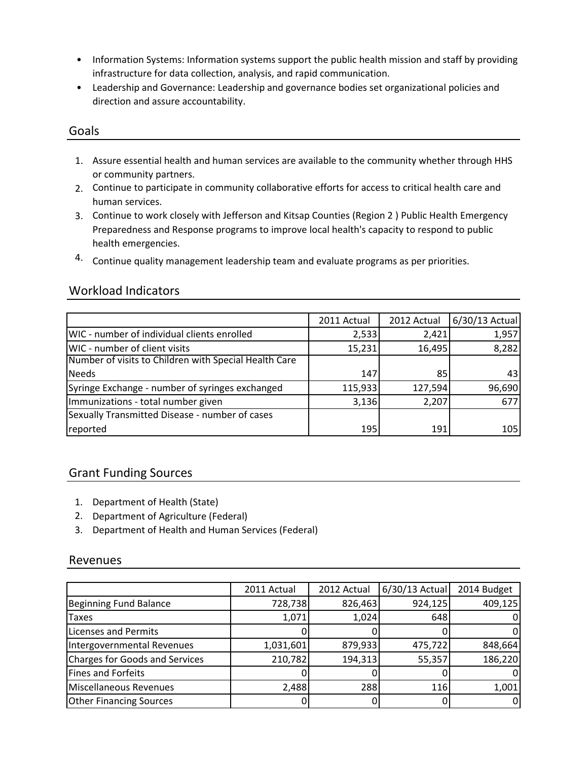- Information Systems: Information systems support the public health mission and staff by providing infrastructure for data collection, analysis, and rapid communication.
- Leadership and Governance: Leadership and governance bodies set organizational policies and direction and assure accountability.

#### Goals

- 1. Assure essential health and human services are available to the community whether through HHS or community partners.
- 2. Continue to participate in community collaborative efforts for access to critical health care and human services.
- 3. Continue to work closely with Jefferson and Kitsap Counties (Region 2 ) Public Health Emergency Preparedness and Response programs to improve local health's capacity to respond to public health emergencies.
- 4. Continue quality management leadership team and evaluate programs as per priorities.

### Workload Indicators

|                                                       | 2011 Actual | 2012 Actual | 6/30/13 Actual |
|-------------------------------------------------------|-------------|-------------|----------------|
| WIC - number of individual clients enrolled           | 2,533       | 2,421       | 1,957          |
| WIC - number of client visits                         | 15,231      | 16,495      | 8,282          |
| Number of visits to Children with Special Health Care |             |             |                |
| Needs                                                 | 147         | 85          | 43             |
| Syringe Exchange - number of syringes exchanged       | 115,933     | 127,594     | 96,690         |
| Immunizations - total number given                    | 3,136       | 2,207       | 677            |
| Sexually Transmitted Disease - number of cases        |             |             |                |
| reported                                              | 195         | 191         | 105            |

### Grant Funding Sources

- 1. Department of Health (State)
- 2. Department of Agriculture (Federal)
- 3. Department of Health and Human Services (Federal)

#### Revenues

|                                | 2011 Actual | 2012 Actual | $6/30/13$ Actual | 2014 Budget |
|--------------------------------|-------------|-------------|------------------|-------------|
| Beginning Fund Balance         | 728,738     | 826,463     | 924,125          | 409,125     |
| <b>Taxes</b>                   | 1,071       | 1,024       | 648              |             |
| Licenses and Permits           |             |             |                  |             |
| Intergovernmental Revenues     | 1,031,601   | 879,933     | 475,722          | 848,664     |
| Charges for Goods and Services | 210,782     | 194,313     | 55,357           | 186,220     |
| Fines and Forfeits             |             |             |                  |             |
| Miscellaneous Revenues         | 2,488       | 288         | 116              | 1,001       |
| <b>Other Financing Sources</b> |             |             |                  |             |